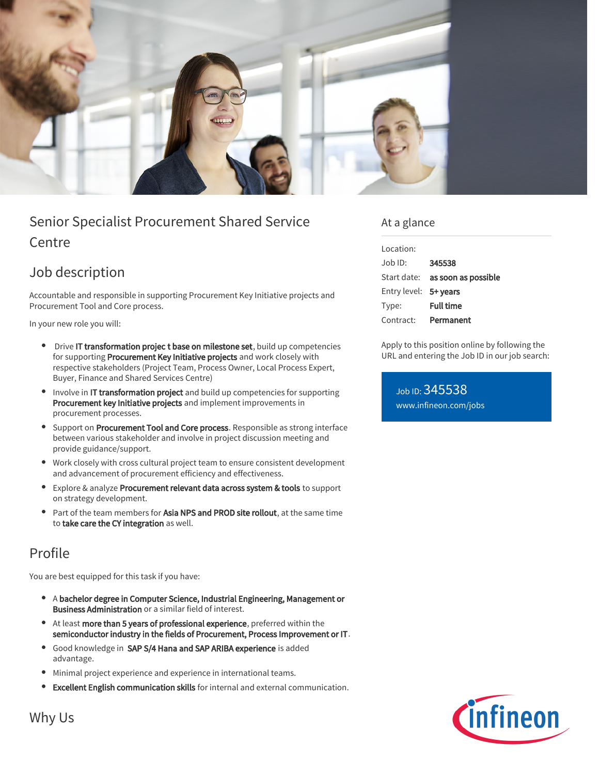

# Senior Specialist Procurement Shared Service Centre

## Job description

Accountable and responsible in supporting Procurement Key Initiative projects and Procurement Tool and Core process.

In your new role you will:

- Drive IT transformation projec t base on milestone set, build up competencies for supporting Procurement Key Initiative projects and work closely with respective stakeholders (Project Team, Process Owner, Local Process Expert, Buyer, Finance and Shared Services Centre)
- Involve in IT transformation project and build up competencies for supporting Procurement key Initiative projects and implement improvements in procurement processes.
- **Support on Procurement Tool and Core process**. Responsible as strong interface between various stakeholder and involve in project discussion meeting and provide guidance/support.
- Work closely with cross cultural project team to ensure consistent development and advancement of procurement efficiency and effectiveness.
- Explore & analyze Procurement relevant data across system & tools to support on strategy development.
- Part of the team members for Asia NPS and PROD site rollout, at the same time to take care the CY integration as well.

## Profile

You are best equipped for this task if you have:

- A bachelor degree in Computer Science, Industrial Engineering, Management or  $\bullet$ Business Administration or a similar field of interest.
- At least more than 5 years of professional experience, preferred within the semiconductor industry in the fields of Procurement, Process Improvement or IT.
- Good knowledge in SAP S/4 Hana and SAP ARIBA experience is added advantage.
- Minimal project experience and experience in international teams.
- Excellent English communication skills for internal and external communication.

#### At a glance

| Location:             |                                 |
|-----------------------|---------------------------------|
| Job ID:               | 345538                          |
|                       | Start date: as soon as possible |
| Entry level: 5+ years |                                 |
| Type:                 | <b>Full time</b>                |
| Contract:             | Permanent                       |

Apply to this position online by following the URL and entering the Job ID in our job search:

Job ID: 345538 [www.infineon.com/jobs](https://www.infineon.com/jobs)



Why Us